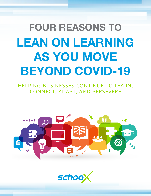# FOUR REASONS TO LEAN ON LEARNING AS YOU MOVE BEYOND COVID-19

HELPING BUSINESSES CONTINUE TO LEARN, CONNECT, ADAPT, AND PERSEVERE



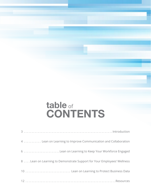## table of **CONTENTS**

| 4  Lean on Learning to Improve Communication and Collaboration          |  |
|-------------------------------------------------------------------------|--|
| 6 Lean on Learning to Keep Your Workforce Engaged                       |  |
| 8  Lean on Learning to Demonstrate Support for Your Employees' Wellness |  |
| 10  Lean on Learning to Protect Business Data                           |  |
|                                                                         |  |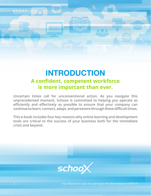#### INTRODUCTION **A confident, competent workforce is more important than ever.**

**Uncertain times call for unconventional action. As you navigate this unprecedented moment, Schoox is committed to helping you operate as efficiently and effectively as possible to ensure that your company can continue to learn, connect, adapt, and persevere through these difficult times.** 

**This e-book includes four key reasons why online learning and development tools are critical to the success of your business both for the immediate crisis and beyond.**

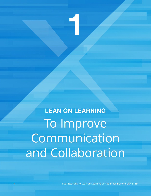LEAN ON LEARNING To Improve **Communication** and Collaboration

1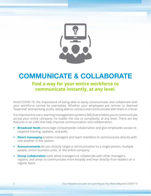

#### COMMUNICATE & COLLABORATE **Find a way for your entire workforce to communicate instantly, at any level.**

Amid COVID-19, the importance of being able to easily communicate and collaborate with your workforce cannot be overstated. Whether your employees are remote or deemed "essential" and working onsite, being able to connect and communicate with them is critical.

It is important to use a learning management system (LMS) that enables you to communicate across your entire company, no matter the size or complexity, at any level. There are key features in an LMS that help improve communication and collaboration:

- Broadcast feeds encourage companywide collaboration and give employees access to targeted training, updates, and polls.
- Direct messaging enables managers and team members to communicate directly with one another in the system.
- Announcements let you directly target a communication to a single person, multiple people, entire business units, or the entire company.
- Group collaboration tools allow managers to collaborate with other managers, regions, and areas to communicate more broadly and hear directly from leaders on a regular basis.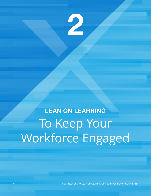

# LEAN ON LEARNING To Keep Your Workforce Engaged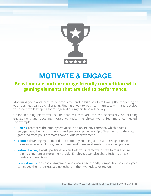

## MOTIVATE & ENGAGE

#### **Boost morale and encourage friendly competition with gaming elements that are tied to performance.**

Mobilizing your workforce to be productive and in high spirits following the reopening of your business can be challenging. Finding a way to both communicate with and develop your team while keeping them engaged during this time will be key.

Online learning platforms include features that are focused specifically on building engagement and boosting morale to make the virtual world feel more connected. For example:

- Polling promotes the employees' voice in an online environment, which boosts engagement, builds community, and encourages ownership of learning, and the data gathered from polls promotes continuous improvement.
- Badges drive engagement and motivation by enabling automated recognition in a more social way, including peer-to-peer and manager-to-subordinate recognition.
- Virtual Training boosts participation and lets you interact with staff to make online training experiences more memorable. Employees can also share insights or ask questions in real time.
- Leaderboards increase engagement and encourage friendly competition so employees can gauge their progress against others in their workplace or region.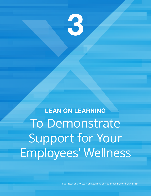

LEAN ON LEARNING To Demonstrate Support for Your Employees' Wellness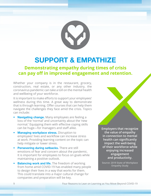

### SUPPORT & EMPATHIZE

#### **Demonstrating empathy during times of crisis can pay off in improved engagement and retention.**

Whether your company is in the restaurant, grocery, construction, real estate, or any other industry, the coronavirus pandemic can take a toll on the mental health and wellbeing of your workforce.

It is important to make efforts to support your employees' wellness during this time. A great way to demonstrate that is through learning. Offer courses that can help them navigate the challenges they face amid the crisis. Topics can include:

- Navigating change. Many employees are feeling a loss of the 'normal' and uncertainty about the 'new normal.' Equipping them with effective coping skills can be huge—for managers and staff alike.
- Managing workplace stress. Disruption to employees' lives and workflow can increase stress at work. Providing learning content on the topic can help mitigate or lower stress.
- Persevering during setbacks. There are still emotions of fear and concern about the pandemic. It is important for employees to focus on goals while maintaining a positive outlook.
- Balancing work and life. The freedom of working from home amid COVID-19 has enabled many people to design their lives in a way that works for them. This could translate into a major cultural change for companies and preparation will be key.

**Employers that recognize the value of empathy in connection to mental health can significantly impact the well-being of their workforce while enjoying increased engagement and productivity.**

**Source: [2019 State of Workplace](https://info.businessolver.com/need-more-engaged-productive-employees)  [Empathy Study](https://info.businessolver.com/need-more-engaged-productive-employees)**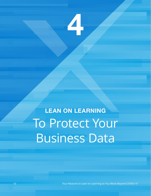

LEAN ON LEARNING To Protect Your Business Data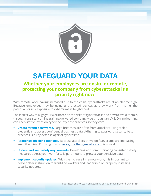

## SAFEGUARD YOUR DATA

#### **Whether your employees are onsite or remote, protecting your company from cyberattacks is a priority right now.**

With remote work having increased due to the crisis, cyberattacks are at an all-time high. Because employees may be using unprotected devices as they work from home, the potential for risk exposure to cybercrime is heightened.

The fastest way to align your workforce on the risks of cyberattacks and how to avoid them is through consistent online training delivered companywide through an LMS. Online learning can keep staff current on cybersecurity best practices so they can:

- Create strong passwords. Large breaches are often from attackers using stolen credentials to access confidential business data. Adhering to password security best practices is a key defense against cybercrime.
- Recognize phishing red flags. Because attackers thrive on fear, scams are increasing amid the crisis. Knowing how to [recognize the signs of a scam](https://fraudsupport.org/wp-content/uploads/2020/04/FraudSupport.org-COVID-19-Scams.pdf) is critical.
- Understand web safety requirements. Developing and communicating consistent safety measures across your workforce is paramount to protect your sensitive data.
- Implement security updates. With the increase in remote work, it is important to deliver clear instruction to front-line workers and leadership on properly installing security updates.